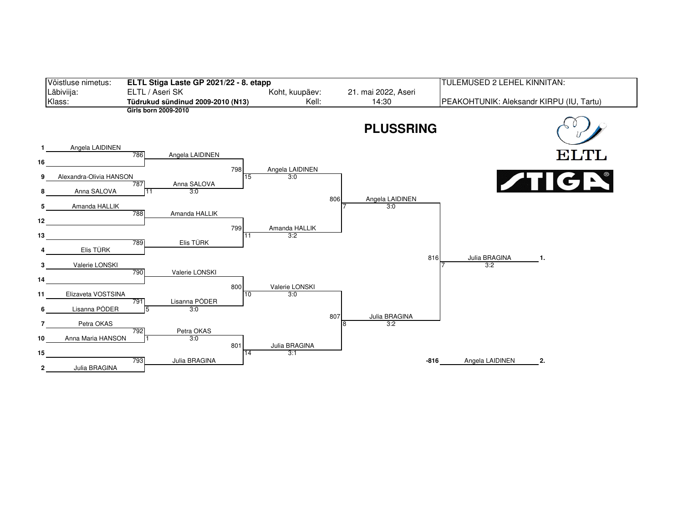